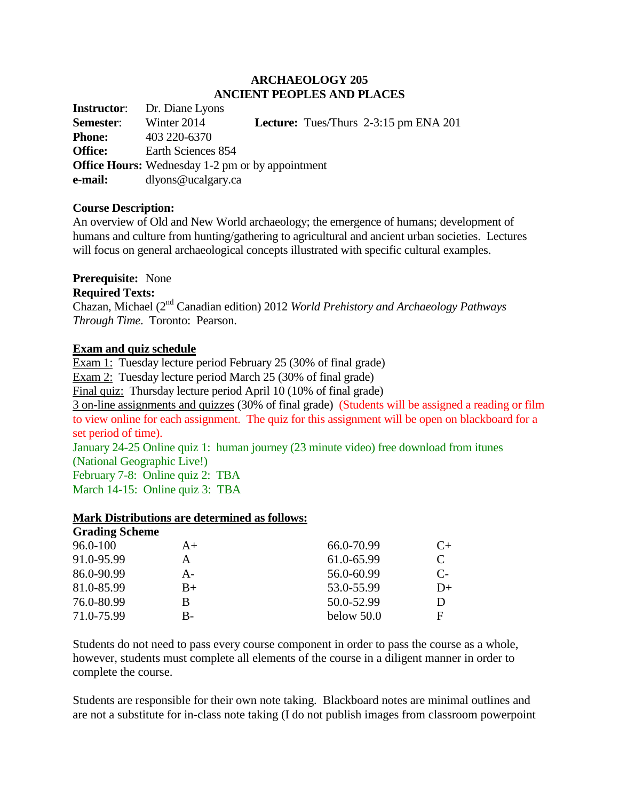#### **ARCHAEOLOGY 205 ANCIENT PEOPLES AND PLACES**

**Instructor**: Dr. Diane Lyons **Semester**: Winter 2014 **Lecture:** Tues/Thurs 2-3:15 pm ENA 201 **Phone:** 403 220-6370 **Office:** Earth Sciences 854 **Office Hours:** Wednesday 1-2 pm or by appointment **e-mail:** dlyons@ucalgary.ca

#### **Course Description:**

An overview of Old and New World archaeology; the emergence of humans; development of humans and culture from hunting/gathering to agricultural and ancient urban societies. Lectures will focus on general archaeological concepts illustrated with specific cultural examples.

### **Prerequisite:** None

#### **Required Texts:**

Chazan, Michael (2nd Canadian edition) 2012 *World Prehistory and Archaeology Pathways Through Time*. Toronto: Pearson.

### **Exam and quiz schedule**

Exam 1: Tuesday lecture period February 25 (30% of final grade) Exam 2: Tuesday lecture period March 25 (30% of final grade) Final quiz: Thursday lecture period April 10 (10% of final grade) 3 on-line assignments and quizzes (30% of final grade) (Students will be assigned a reading or film to view online for each assignment. The quiz for this assignment will be open on blackboard for a set period of time). January 24-25 Online quiz 1: human journey (23 minute video) free download from itunes (National Geographic Live!)

February 7-8: Online quiz 2: TBA March 14-15: Online quiz 3: TBA

#### **Mark Distributions are determined as follows: Grading Scheme**

| Grading Scheme |       |              |            |
|----------------|-------|--------------|------------|
| 96.0-100       | $A+$  | 66.0-70.99   | $C_{\pm}$  |
| 91.0-95.99     | А     | 61.0-65.99   | C          |
| 86.0-90.99     | $A -$ | 56.0-60.99   | $C_{\tau}$ |
| 81.0-85.99     | $B+$  | 53.0-55.99   | $D+$       |
| 76.0-80.99     | B     | 50.0-52.99   | D          |
| 71.0-75.99     | B-    | below $50.0$ | F          |
|                |       |              |            |

Students do not need to pass every course component in order to pass the course as a whole, however, students must complete all elements of the course in a diligent manner in order to complete the course.

Students are responsible for their own note taking. Blackboard notes are minimal outlines and are not a substitute for in-class note taking (I do not publish images from classroom powerpoint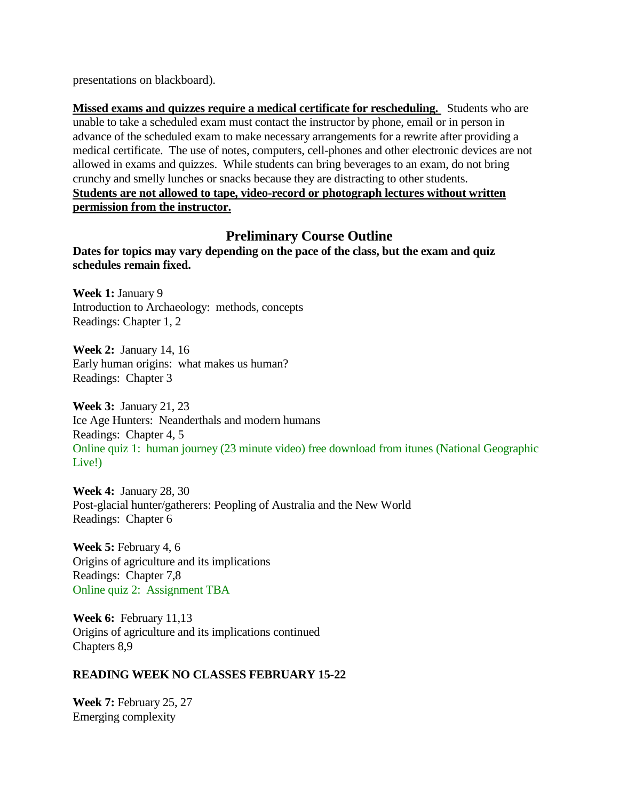presentations on blackboard).

**Missed exams and quizzes require a medical certificate for rescheduling.** Students who are unable to take a scheduled exam must contact the instructor by phone, email or in person in advance of the scheduled exam to make necessary arrangements for a rewrite after providing a medical certificate. The use of notes, computers, cell-phones and other electronic devices are not allowed in exams and quizzes. While students can bring beverages to an exam, do not bring crunchy and smelly lunches or snacks because they are distracting to other students. **Students are not allowed to tape, video-record or photograph lectures without written permission from the instructor.**

# **Preliminary Course Outline**

**Dates for topics may vary depending on the pace of the class, but the exam and quiz schedules remain fixed.** 

**Week 1:** January 9 Introduction to Archaeology: methods, concepts Readings: Chapter 1, 2

**Week 2:** January 14, 16 Early human origins: what makes us human? Readings: Chapter 3

**Week 3:** January 21, 23 Ice Age Hunters: Neanderthals and modern humans Readings: Chapter 4, 5 Online quiz 1: human journey (23 minute video) free download from itunes (National Geographic Live!)

**Week 4:** January 28, 30 Post-glacial hunter/gatherers: Peopling of Australia and the New World Readings: Chapter 6

**Week 5:** February 4, 6 Origins of agriculture and its implications Readings: Chapter 7,8 Online quiz 2: Assignment TBA

**Week 6:** February 11,13 Origins of agriculture and its implications continued Chapters 8,9

## **READING WEEK NO CLASSES FEBRUARY 15-22**

**Week 7:** February 25, 27 Emerging complexity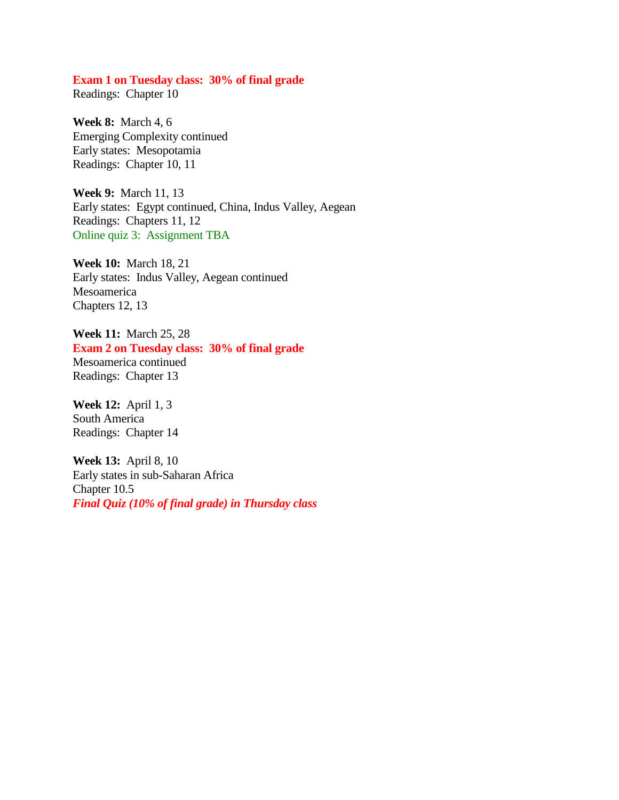#### **Exam 1 on Tuesday class: 30% of final grade**

Readings: Chapter 10

**Week 8:** March 4, 6 Emerging Complexity continued Early states: Mesopotamia Readings: Chapter 10, 11

**Week 9:** March 11, 13 Early states: Egypt continued, China, Indus Valley, Aegean Readings: Chapters 11, 12 Online quiz 3: Assignment TBA

**Week 10:** March 18, 21 Early states: Indus Valley, Aegean continued Mesoamerica Chapters 12, 13

**Week 11:** March 25, 28 **Exam 2 on Tuesday class: 30% of final grade** Mesoamerica continued Readings: Chapter 13

**Week 12:** April 1, 3 South America Readings: Chapter 14

**Week 13:** April 8, 10 Early states in sub-Saharan Africa Chapter 10.5 *Final Quiz (10% of final grade) in Thursday class*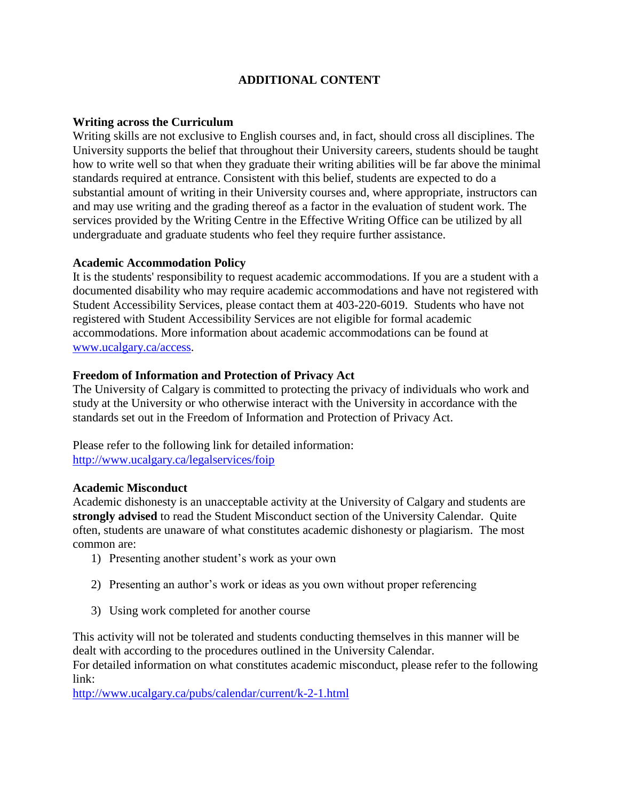# **ADDITIONAL CONTENT**

#### **Writing across the Curriculum**

Writing skills are not exclusive to English courses and, in fact, should cross all disciplines. The University supports the belief that throughout their University careers, students should be taught how to write well so that when they graduate their writing abilities will be far above the minimal standards required at entrance. Consistent with this belief, students are expected to do a substantial amount of writing in their University courses and, where appropriate, instructors can and may use writing and the grading thereof as a factor in the evaluation of student work. The services provided by the Writing Centre in the Effective Writing Office can be utilized by all undergraduate and graduate students who feel they require further assistance.

### **Academic Accommodation Policy**

It is the students' responsibility to request academic accommodations. If you are a student with a documented disability who may require academic accommodations and have not registered with Student Accessibility Services, please contact them at 403-220-6019. Students who have not registered with Student Accessibility Services are not eligible for formal academic accommodations. More information about academic accommodations can be found at [www.ucalgary.ca/access.](http://www.ucalgary.ca/access)

## **Freedom of Information and Protection of Privacy Act**

The University of Calgary is committed to protecting the privacy of individuals who work and study at the University or who otherwise interact with the University in accordance with the standards set out in the Freedom of Information and Protection of Privacy Act.

Please refer to the following link for detailed information: <http://www.ucalgary.ca/legalservices/foip>

#### **Academic Misconduct**

Academic dishonesty is an unacceptable activity at the University of Calgary and students are **strongly advised** to read the Student Misconduct section of the University Calendar. Quite often, students are unaware of what constitutes academic dishonesty or plagiarism. The most common are:

- 1) Presenting another student's work as your own
- 2) Presenting an author's work or ideas as you own without proper referencing
- 3) Using work completed for another course

This activity will not be tolerated and students conducting themselves in this manner will be dealt with according to the procedures outlined in the University Calendar.

For detailed information on what constitutes academic misconduct, please refer to the following link:

<http://www.ucalgary.ca/pubs/calendar/current/k-2-1.html>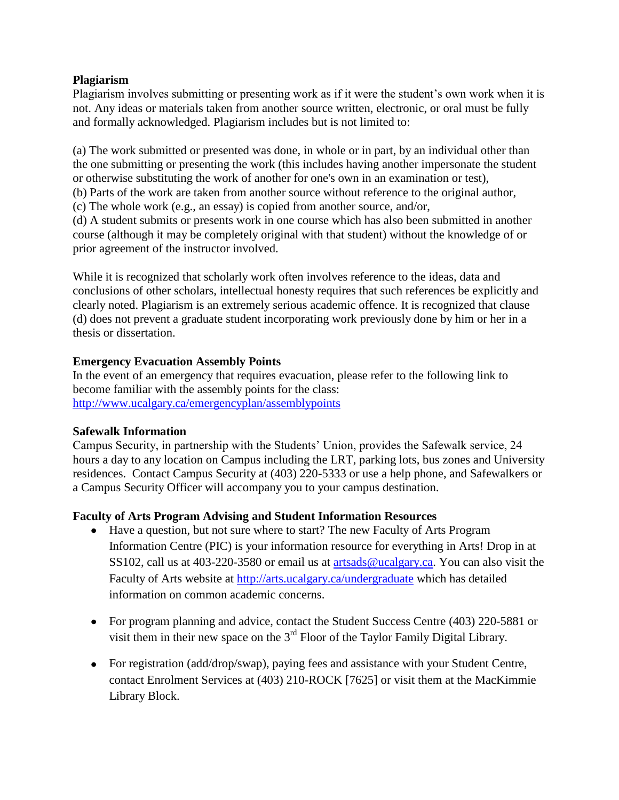## **Plagiarism**

Plagiarism involves submitting or presenting work as if it were the student's own work when it is not. Any ideas or materials taken from another source written, electronic, or oral must be fully and formally acknowledged. Plagiarism includes but is not limited to:

(a) The work submitted or presented was done, in whole or in part, by an individual other than the one submitting or presenting the work (this includes having another impersonate the student or otherwise substituting the work of another for one's own in an examination or test),

(b) Parts of the work are taken from another source without reference to the original author,

(c) The whole work (e.g., an essay) is copied from another source, and/or,

(d) A student submits or presents work in one course which has also been submitted in another course (although it may be completely original with that student) without the knowledge of or prior agreement of the instructor involved.

While it is recognized that scholarly work often involves reference to the ideas, data and conclusions of other scholars, intellectual honesty requires that such references be explicitly and clearly noted. Plagiarism is an extremely serious academic offence. It is recognized that clause (d) does not prevent a graduate student incorporating work previously done by him or her in a thesis or dissertation.

## **Emergency Evacuation Assembly Points**

In the event of an emergency that requires evacuation, please refer to the following link to become familiar with the assembly points for the class: <http://www.ucalgary.ca/emergencyplan/assemblypoints>

## **Safewalk Information**

Campus Security, in partnership with the Students' Union, provides the Safewalk service, 24 hours a day to any location on Campus including the LRT, parking lots, bus zones and University residences. Contact Campus Security at (403) 220-5333 or use a help phone, and Safewalkers or a Campus Security Officer will accompany you to your campus destination.

## **Faculty of Arts Program Advising and Student Information Resources**

- Have a question, but not sure where to start? The new Faculty of Arts Program Information Centre (PIC) is your information resource for everything in Arts! Drop in at SS102, call us at 403-220-3580 or email us at [artsads@ucalgary.ca.](mailto:artsads@ucalgary.ca) You can also visit the Faculty of Arts website at<http://arts.ucalgary.ca/undergraduate> which has detailed information on common academic concerns.
- For program planning and advice, contact the Student Success Centre (403) 220-5881 or visit them in their new space on the  $3<sup>rd</sup>$  Floor of the Taylor Family Digital Library.
- For registration (add/drop/swap), paying fees and assistance with your Student Centre, contact Enrolment Services at (403) 210-ROCK [7625] or visit them at the MacKimmie Library Block.